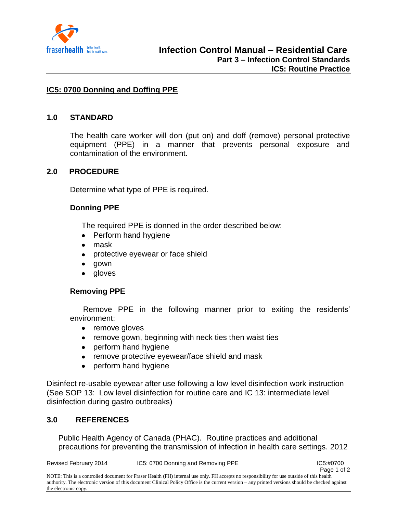

# **IC5: 0700 Donning and Doffing PPE**

### **1.0 STANDARD**

The health care worker will don (put on) and doff (remove) personal protective equipment (PPE) in a manner that prevents personal exposure and contamination of the environment.

## **2.0 PROCEDURE**

Determine what type of PPE is required.

## **Donning PPE**

The required PPE is donned in the order described below:

- Perform hand hygiene
- mask
- protective eyewear or face shield
- $\bullet$ gown
- gloves  $\bullet$

## **Removing PPE**

 Remove PPE in the following manner prior to exiting the residents' environment:

- remove gloves
- remove gown, beginning with neck ties then waist ties
- perform hand hygiene  $\bullet$
- remove protective eyewear/face shield and mask
- $\bullet$ perform hand hygiene

Disinfect re-usable eyewear after use following a low level disinfection work instruction (See SOP 13: Low level disinfection for routine care and IC 13: intermediate level disinfection during gastro outbreaks)

## **3.0 REFERENCES**

Public Health Agency of Canada (PHAC). Routine practices and additional precautions for preventing the transmission of infection in health care settings. 2012

NOTE: This is a controlled document for Fraser Health (FH) internal use only. FH accepts no responsibility for use outside of this health authority. The electronic version of this document Clinical Policy Office is the current version – any printed versions should be checked against the electronic copy.